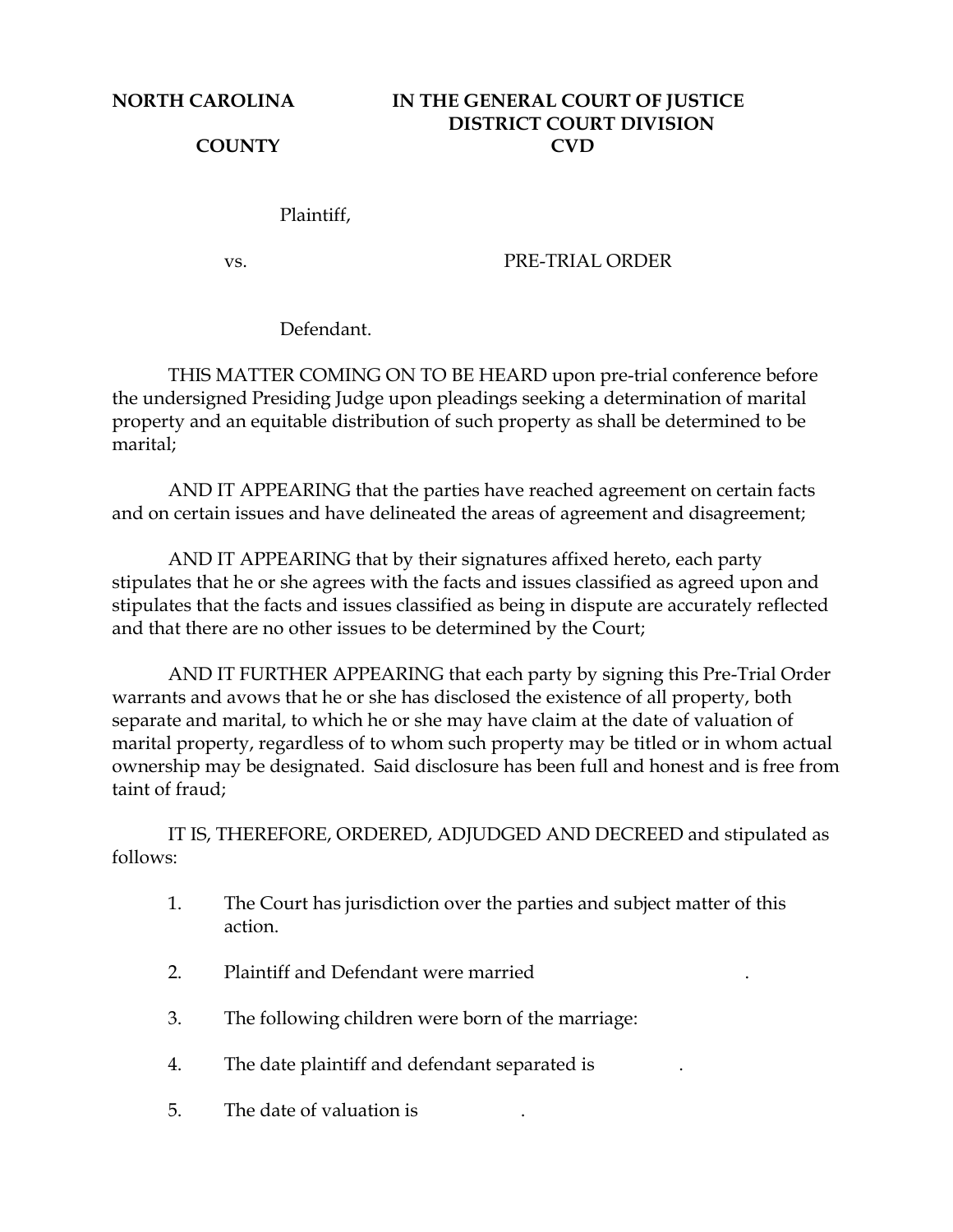## **NORTH CAROLINA IN THE GENERAL COURT OF JUSTICE DISTRICT COURT DIVISION COUNTY CVD**

Plaintiff,

vs. PRE-TRIAL ORDER

Defendant.

 THIS MATTER COMING ON TO BE HEARD upon pre-trial conference before the undersigned Presiding Judge upon pleadings seeking a determination of marital property and an equitable distribution of such property as shall be determined to be marital;

 AND IT APPEARING that the parties have reached agreement on certain facts and on certain issues and have delineated the areas of agreement and disagreement;

 AND IT APPEARING that by their signatures affixed hereto, each party stipulates that he or she agrees with the facts and issues classified as agreed upon and stipulates that the facts and issues classified as being in dispute are accurately reflected and that there are no other issues to be determined by the Court;

 AND IT FURTHER APPEARING that each party by signing this Pre-Trial Order warrants and avows that he or she has disclosed the existence of all property, both separate and marital, to which he or she may have claim at the date of valuation of marital property, regardless of to whom such property may be titled or in whom actual ownership may be designated. Said disclosure has been full and honest and is free from taint of fraud;

 IT IS, THEREFORE, ORDERED, ADJUDGED AND DECREED and stipulated as follows:

- 1. The Court has jurisdiction over the parties and subject matter of this action.
- 2. Plaintiff and Defendant were married .
- 3. The following children were born of the marriage:
- 4. The date plaintiff and defendant separated is .
- 5. The date of valuation is .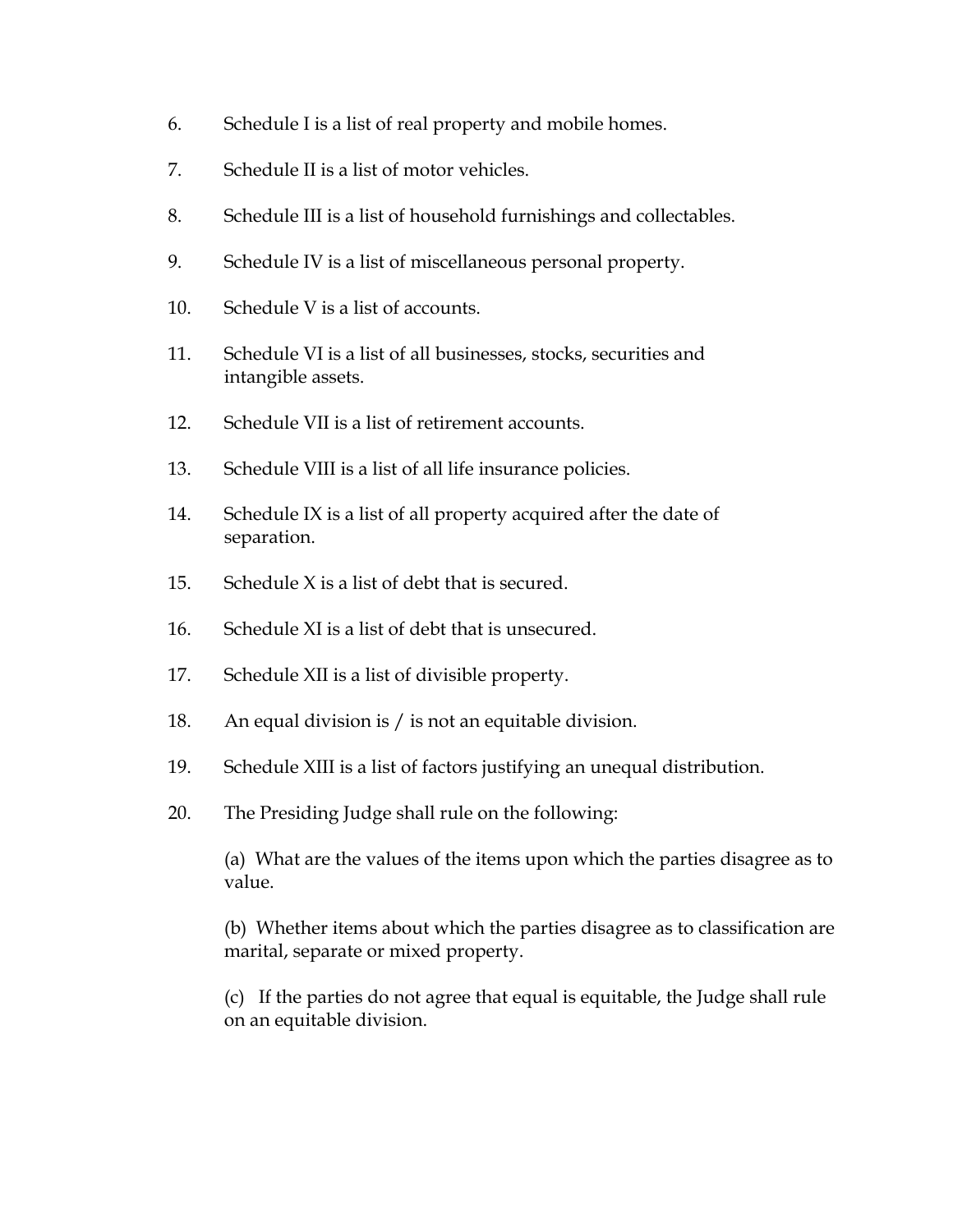- 6. Schedule I is a list of real property and mobile homes.
- 7. Schedule II is a list of motor vehicles.
- 8. Schedule III is a list of household furnishings and collectables.
- 9. Schedule IV is a list of miscellaneous personal property.
- 10. Schedule V is a list of accounts.
- 11. Schedule VI is a list of all businesses, stocks, securities and intangible assets.
- 12. Schedule VII is a list of retirement accounts.
- 13. Schedule VIII is a list of all life insurance policies.
- 14. Schedule IX is a list of all property acquired after the date of separation.
- 15. Schedule  $X$  is a list of debt that is secured.
- 16. Schedule XI is a list of debt that is unsecured.
- 17. Schedule XII is a list of divisible property.
- 18. An equal division is / is not an equitable division.
- 19. Schedule XIII is a list of factors justifying an unequal distribution.
- 20. The Presiding Judge shall rule on the following:

(a) What are the values of the items upon which the parties disagree as to value.

(b) Whether items about which the parties disagree as to classification are marital, separate or mixed property.

(c) If the parties do not agree that equal is equitable, the Judge shall rule on an equitable division.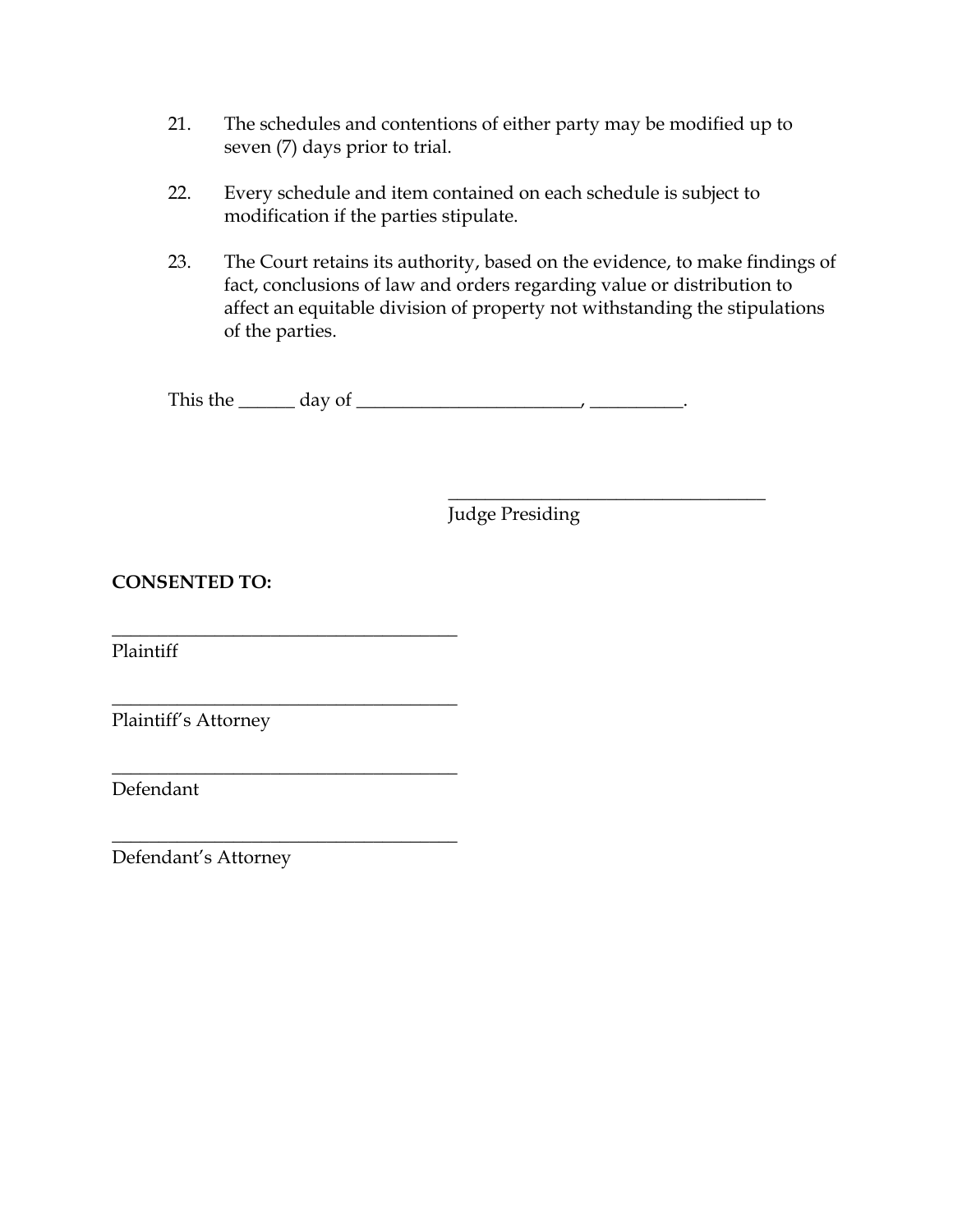- 21. The schedules and contentions of either party may be modified up to seven (7) days prior to trial.
- 22. Every schedule and item contained on each schedule is subject to modification if the parties stipulate.
- 23. The Court retains its authority, based on the evidence, to make findings of fact, conclusions of law and orders regarding value or distribution to affect an equitable division of property not withstanding the stipulations of the parties.

This the  $\_\_\_\_$  day of  $\_\_\_\_\_\_\_\_\_$ 

 $\overline{\phantom{a}}$  , which is a set of the set of the set of the set of the set of the set of the set of the set of the set of the set of the set of the set of the set of the set of the set of the set of the set of the set of th Judge Presiding

## **CONSENTED TO:**

\_\_\_\_\_\_\_\_\_\_\_\_\_\_\_\_\_\_\_\_\_\_\_\_\_\_\_\_\_\_\_\_\_\_\_\_\_

\_\_\_\_\_\_\_\_\_\_\_\_\_\_\_\_\_\_\_\_\_\_\_\_\_\_\_\_\_\_\_\_\_\_\_\_\_

\_\_\_\_\_\_\_\_\_\_\_\_\_\_\_\_\_\_\_\_\_\_\_\_\_\_\_\_\_\_\_\_\_\_\_\_\_

\_\_\_\_\_\_\_\_\_\_\_\_\_\_\_\_\_\_\_\_\_\_\_\_\_\_\_\_\_\_\_\_\_\_\_\_\_

Plaintiff

Plaintiff's Attorney

Defendant

Defendant's Attorney